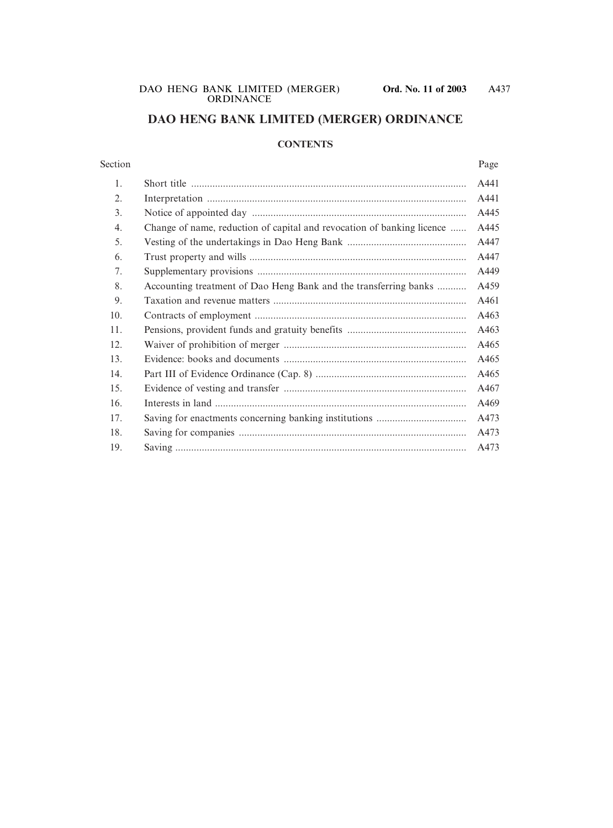# **DAO HENG BANK LIMITED (MERGER) ORDINANCE**

#### **CONTENTS**

#### Section Page

| 1.  |                                                                        | A441 |
|-----|------------------------------------------------------------------------|------|
| 2.  |                                                                        | A441 |
| 3.  |                                                                        | A445 |
| 4.  | Change of name, reduction of capital and revocation of banking licence | A445 |
| 5.  |                                                                        | A447 |
| 6.  |                                                                        | A447 |
| 7.  |                                                                        | A449 |
| 8.  | Accounting treatment of Dao Heng Bank and the transferring banks       | A459 |
| 9.  |                                                                        | A461 |
| 10. |                                                                        | A463 |
| 11. |                                                                        | A463 |
| 12. |                                                                        | A465 |
| 13. |                                                                        | A465 |
| 14. |                                                                        | A465 |
| 15. |                                                                        | A467 |
| 16. |                                                                        | A469 |
| 17. |                                                                        | A473 |
| 18. |                                                                        | A473 |
| 19. |                                                                        | A473 |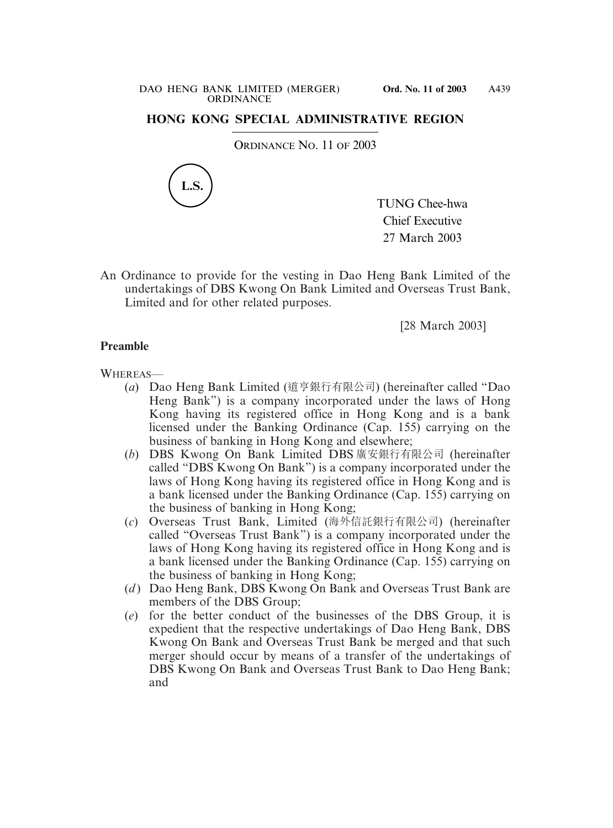# **HONG KONG SPECIAL ADMINISTRATIVE REGION**

ORDINANCE NO. 11 OF 2003



TUNG Chee-hwa Chief Executive 27 March 2003

An Ordinance to provide for the vesting in Dao Heng Bank Limited of the undertakings of DBS Kwong On Bank Limited and Overseas Trust Bank, Limited and for other related purposes.

[28 March 2003]

### **Preamble**

#### WHEREAS—

- (*a*) Dao Heng Bank Limited (道亨銀行有限公司) (hereinafter called "Dao Heng Bank") is a company incorporated under the laws of Hong Kong having its registered office in Hong Kong and is a bank licensed under the Banking Ordinance (Cap. 155) carrying on the business of banking in Hong Kong and elsewhere;
- (*b*) DBS Kwong On Bank Limited DBS 廣安銀行有限公司 (hereinafter called "DBS Kwong On Bank") is a company incorporated under the laws of Hong Kong having its registered office in Hong Kong and is a bank licensed under the Banking Ordinance (Cap. 155) carrying on the business of banking in Hong Kong;
- (*c*) Overseas Trust Bank, Limited (海外信託銀行有限公司) (hereinafter called "Overseas Trust Bank") is a company incorporated under the laws of Hong Kong having its registered office in Hong Kong and is a bank licensed under the Banking Ordinance (Cap. 155) carrying on the business of banking in Hong Kong;
- (*d*) Dao Heng Bank, DBS Kwong On Bank and Overseas Trust Bank are members of the DBS Group;
- (*e*) for the better conduct of the businesses of the DBS Group, it is expedient that the respective undertakings of Dao Heng Bank, DBS Kwong On Bank and Overseas Trust Bank be merged and that such merger should occur by means of a transfer of the undertakings of DBS Kwong On Bank and Overseas Trust Bank to Dao Heng Bank; and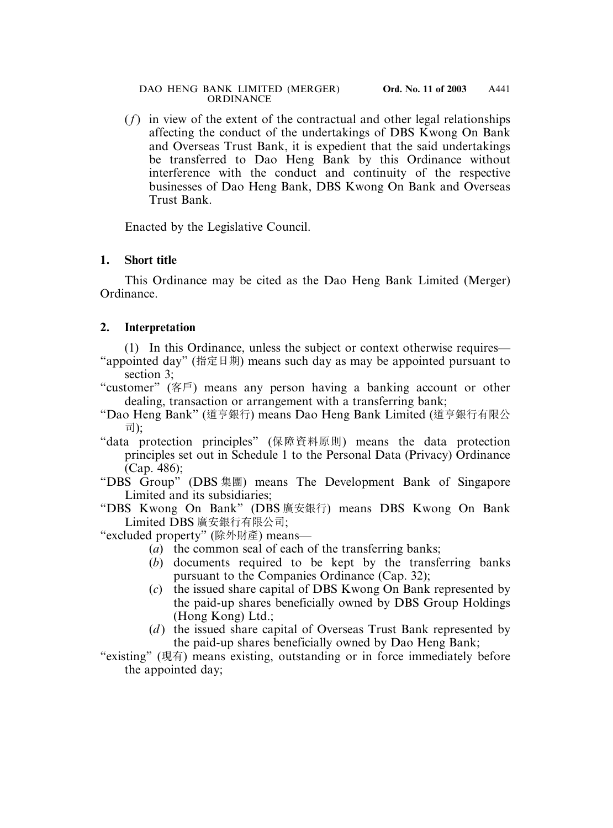(*f*) in view of the extent of the contractual and other legal relationships affecting the conduct of the undertakings of DBS Kwong On Bank and Overseas Trust Bank, it is expedient that the said undertakings be transferred to Dao Heng Bank by this Ordinance without interference with the conduct and continuity of the respective businesses of Dao Heng Bank, DBS Kwong On Bank and Overseas Trust Bank.

Enacted by the Legislative Council.

## **1. Short title**

This Ordinance may be cited as the Dao Heng Bank Limited (Merger) Ordinance.

# **2. Interpretation**

(1) In this Ordinance, unless the subject or context otherwise requires— "appointed day" (指定日期) means such day as may be appointed pursuant to section 3;

- "customer" (客戶) means any person having a banking account or other dealing, transaction or arrangement with a transferring bank;
- "Dao Heng Bank" (道亨銀行) means Dao Heng Bank Limited (道亨銀行有限公 司);
- "data protection principles" (保障資料原則) means the data protection principles set out in Schedule 1 to the Personal Data (Privacy) Ordinance (Cap. 486);
- "DBS Group" (DBS 集團) means The Development Bank of Singapore Limited and its subsidiaries;
- "DBS Kwong On Bank" (DBS 廣安銀行) means DBS Kwong On Bank Limited DBS 廣安銀行有限公司;

"excluded property" (除外財產) means—

- (*a*) the common seal of each of the transferring banks;
- (*b*) documents required to be kept by the transferring banks pursuant to the Companies Ordinance (Cap. 32);
- (*c*) the issued share capital of DBS Kwong On Bank represented by the paid-up shares beneficially owned by DBS Group Holdings (Hong Kong) Ltd.;
- (*d*) the issued share capital of Overseas Trust Bank represented by the paid-up shares beneficially owned by Dao Heng Bank;

"existing" (現有) means existing, outstanding or in force immediately before the appointed day;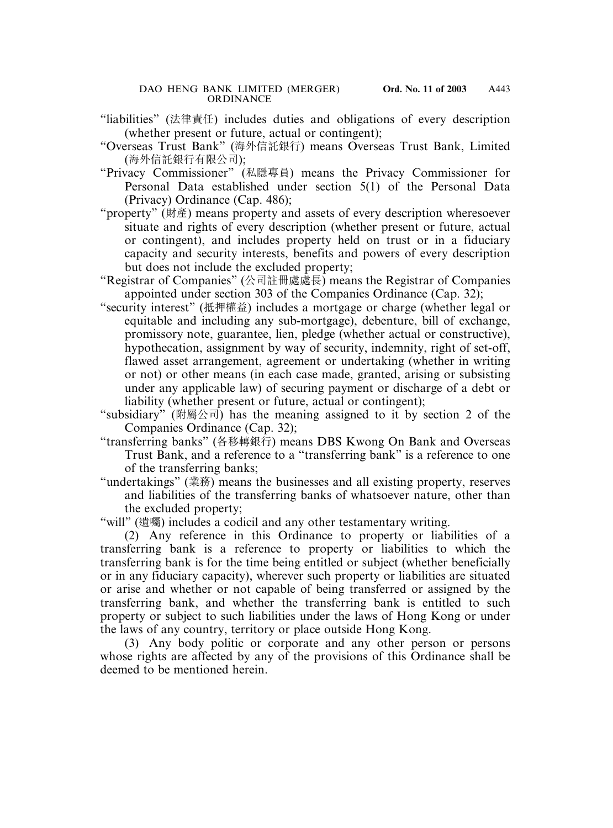- "liabilities" (法律責任) includes duties and obligations of every description (whether present or future, actual or contingent);
- "Overseas Trust Bank" (海外信託銀行) means Overseas Trust Bank, Limited (海外信託銀行有限公司);
- "Privacy Commissioner" (私隱專員) means the Privacy Commissioner for Personal Data established under section 5(1) of the Personal Data (Privacy) Ordinance (Cap. 486);
- "property" (財產) means property and assets of every description wheresoever situate and rights of every description (whether present or future, actual or contingent), and includes property held on trust or in a fiduciary capacity and security interests, benefits and powers of every description but does not include the excluded property;
- "Registrar of Companies" (公司註冊處處長) means the Registrar of Companies appointed under section 303 of the Companies Ordinance (Cap. 32);
- "security interest" (抵押權益) includes a mortgage or charge (whether legal or equitable and including any sub-mortgage), debenture, bill of exchange, promissory note, guarantee, lien, pledge (whether actual or constructive), hypothecation, assignment by way of security, indemnity, right of set-off, flawed asset arrangement, agreement or undertaking (whether in writing or not) or other means (in each case made, granted, arising or subsisting under any applicable law) of securing payment or discharge of a debt or liability (whether present or future, actual or contingent);
- "subsidiary" (附屬公司) has the meaning assigned to it by section 2 of the Companies Ordinance (Cap. 32);
- "transferring banks" (各移轉銀行) means DBS Kwong On Bank and Overseas Trust Bank, and a reference to a "transferring bank" is a reference to one of the transferring banks;
- "undertakings" (業務) means the businesses and all existing property, reserves and liabilities of the transferring banks of whatsoever nature, other than the excluded property;

"will" (遺囑) includes a codicil and any other testamentary writing.

(2) Any reference in this Ordinance to property or liabilities of a transferring bank is a reference to property or liabilities to which the transferring bank is for the time being entitled or subject (whether beneficially or in any fiduciary capacity), wherever such property or liabilities are situated or arise and whether or not capable of being transferred or assigned by the transferring bank, and whether the transferring bank is entitled to such property or subject to such liabilities under the laws of Hong Kong or under the laws of any country, territory or place outside Hong Kong.

(3) Any body politic or corporate and any other person or persons whose rights are affected by any of the provisions of this Ordinance shall be deemed to be mentioned herein.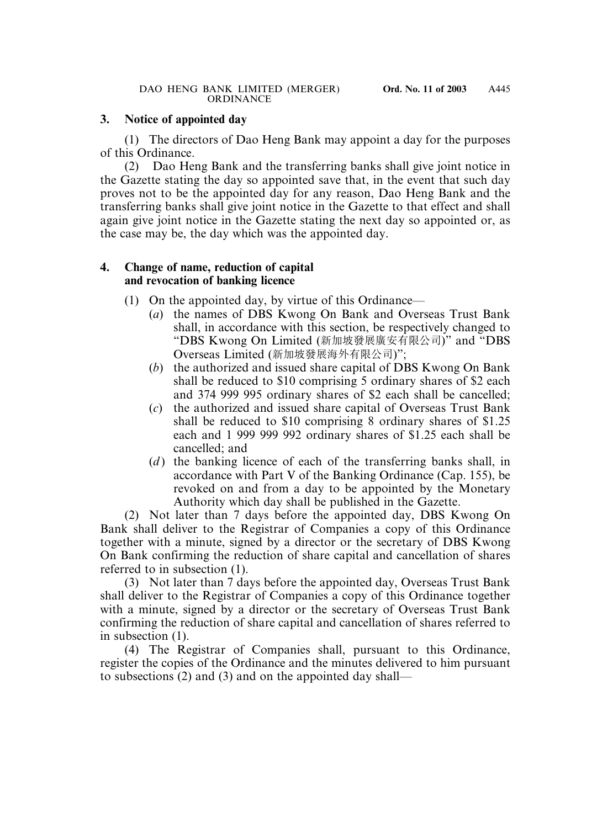## **3. Notice of appointed day**

(1) The directors of Dao Heng Bank may appoint a day for the purposes of this Ordinance.

(2) Dao Heng Bank and the transferring banks shall give joint notice in the Gazette stating the day so appointed save that, in the event that such day proves not to be the appointed day for any reason, Dao Heng Bank and the transferring banks shall give joint notice in the Gazette to that effect and shall again give joint notice in the Gazette stating the next day so appointed or, as the case may be, the day which was the appointed day.

## **4. Change of name, reduction of capital and revocation of banking licence**

- (1) On the appointed day, by virtue of this Ordinance—
	- (*a*) the names of DBS Kwong On Bank and Overseas Trust Bank shall, in accordance with this section, be respectively changed to "DBS Kwong On Limited (新加坡發展廣安有限公司)" and "DBS Overseas Limited (新加坡發展海外有限公司)";
	- (*b*) the authorized and issued share capital of DBS Kwong On Bank shall be reduced to \$10 comprising 5 ordinary shares of \$2 each and 374 999 995 ordinary shares of \$2 each shall be cancelled;
	- (*c*) the authorized and issued share capital of Overseas Trust Bank shall be reduced to \$10 comprising 8 ordinary shares of \$1.25 each and 1 999 999 992 ordinary shares of \$1.25 each shall be cancelled; and
	- (*d*) the banking licence of each of the transferring banks shall, in accordance with Part V of the Banking Ordinance (Cap. 155), be revoked on and from a day to be appointed by the Monetary Authority which day shall be published in the Gazette.

(2) Not later than 7 days before the appointed day, DBS Kwong On Bank shall deliver to the Registrar of Companies a copy of this Ordinance together with a minute, signed by a director or the secretary of DBS Kwong On Bank confirming the reduction of share capital and cancellation of shares referred to in subsection (1).

(3) Not later than 7 days before the appointed day, Overseas Trust Bank shall deliver to the Registrar of Companies a copy of this Ordinance together with a minute, signed by a director or the secretary of Overseas Trust Bank confirming the reduction of share capital and cancellation of shares referred to in subsection (1).

(4) The Registrar of Companies shall, pursuant to this Ordinance, register the copies of the Ordinance and the minutes delivered to him pursuant to subsections (2) and (3) and on the appointed day shall—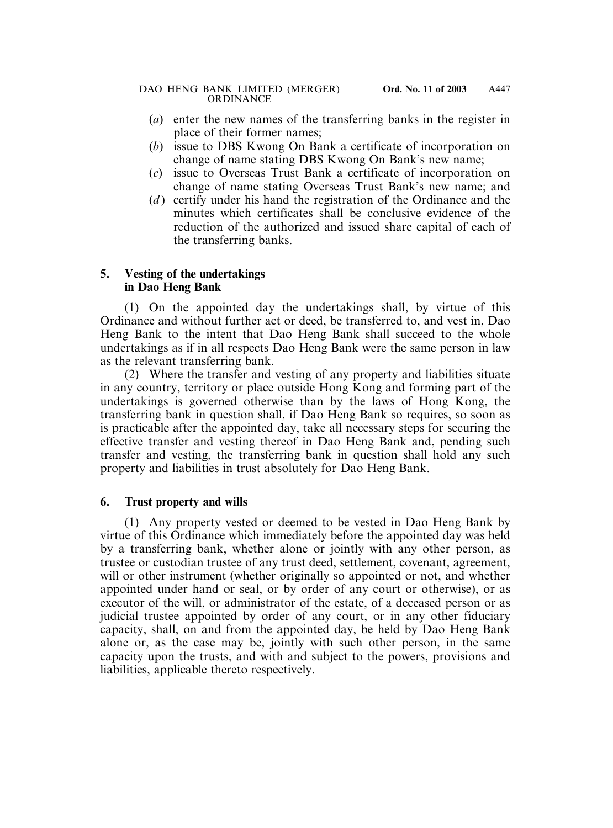- (*a*) enter the new names of the transferring banks in the register in place of their former names;
- (*b*) issue to DBS Kwong On Bank a certificate of incorporation on change of name stating DBS Kwong On Bank's new name;
- (*c*) issue to Overseas Trust Bank a certificate of incorporation on change of name stating Overseas Trust Bank's new name; and
- (*d* ) certify under his hand the registration of the Ordinance and the minutes which certificates shall be conclusive evidence of the reduction of the authorized and issued share capital of each of the transferring banks.

# **5. Vesting of the undertakings in Dao Heng Bank**

(1) On the appointed day the undertakings shall, by virtue of this Ordinance and without further act or deed, be transferred to, and vest in, Dao Heng Bank to the intent that Dao Heng Bank shall succeed to the whole undertakings as if in all respects Dao Heng Bank were the same person in law as the relevant transferring bank.

(2) Where the transfer and vesting of any property and liabilities situate in any country, territory or place outside Hong Kong and forming part of the undertakings is governed otherwise than by the laws of Hong Kong, the transferring bank in question shall, if Dao Heng Bank so requires, so soon as is practicable after the appointed day, take all necessary steps for securing the effective transfer and vesting thereof in Dao Heng Bank and, pending such transfer and vesting, the transferring bank in question shall hold any such property and liabilities in trust absolutely for Dao Heng Bank.

# **6. Trust property and wills**

(1) Any property vested or deemed to be vested in Dao Heng Bank by virtue of this Ordinance which immediately before the appointed day was held by a transferring bank, whether alone or jointly with any other person, as trustee or custodian trustee of any trust deed, settlement, covenant, agreement, will or other instrument (whether originally so appointed or not, and whether appointed under hand or seal, or by order of any court or otherwise), or as executor of the will, or administrator of the estate, of a deceased person or as judicial trustee appointed by order of any court, or in any other fiduciary capacity, shall, on and from the appointed day, be held by Dao Heng Bank alone or, as the case may be, jointly with such other person, in the same capacity upon the trusts, and with and subject to the powers, provisions and liabilities, applicable thereto respectively.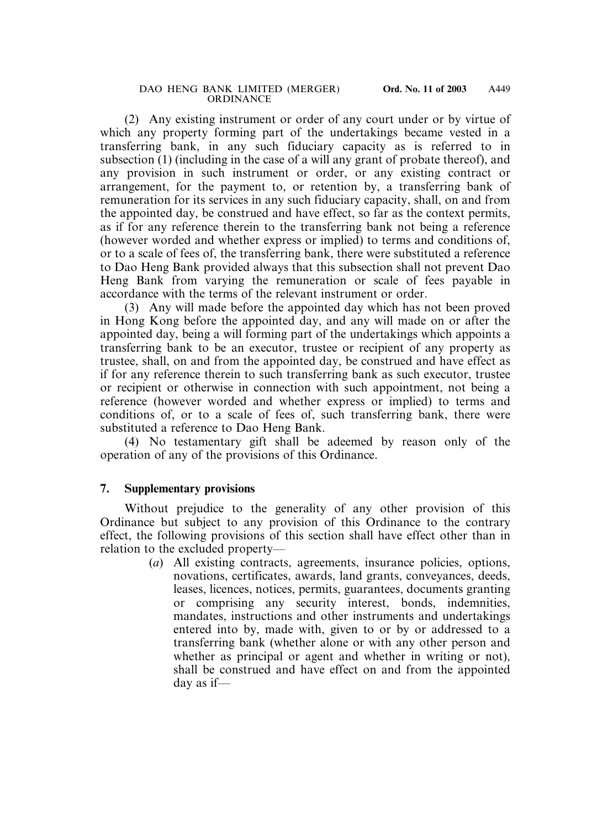(2) Any existing instrument or order of any court under or by virtue of which any property forming part of the undertakings became vested in a transferring bank, in any such fiduciary capacity as is referred to in subsection (1) (including in the case of a will any grant of probate thereof), and any provision in such instrument or order, or any existing contract or arrangement, for the payment to, or retention by, a transferring bank of remuneration for its services in any such fiduciary capacity, shall, on and from the appointed day, be construed and have effect, so far as the context permits, as if for any reference therein to the transferring bank not being a reference (however worded and whether express or implied) to terms and conditions of, or to a scale of fees of, the transferring bank, there were substituted a reference to Dao Heng Bank provided always that this subsection shall not prevent Dao Heng Bank from varying the remuneration or scale of fees payable in accordance with the terms of the relevant instrument or order.

(3) Any will made before the appointed day which has not been proved in Hong Kong before the appointed day, and any will made on or after the appointed day, being a will forming part of the undertakings which appoints a transferring bank to be an executor, trustee or recipient of any property as trustee, shall, on and from the appointed day, be construed and have effect as if for any reference therein to such transferring bank as such executor, trustee or recipient or otherwise in connection with such appointment, not being a reference (however worded and whether express or implied) to terms and conditions of, or to a scale of fees of, such transferring bank, there were substituted a reference to Dao Heng Bank.

(4) No testamentary gift shall be adeemed by reason only of the operation of any of the provisions of this Ordinance.

### **7. Supplementary provisions**

Without prejudice to the generality of any other provision of this Ordinance but subject to any provision of this Ordinance to the contrary effect, the following provisions of this section shall have effect other than in relation to the excluded property—

> (*a*) All existing contracts, agreements, insurance policies, options, novations, certificates, awards, land grants, conveyances, deeds, leases, licences, notices, permits, guarantees, documents granting or comprising any security interest, bonds, indemnities, mandates, instructions and other instruments and undertakings entered into by, made with, given to or by or addressed to a transferring bank (whether alone or with any other person and whether as principal or agent and whether in writing or not), shall be construed and have effect on and from the appointed day as if—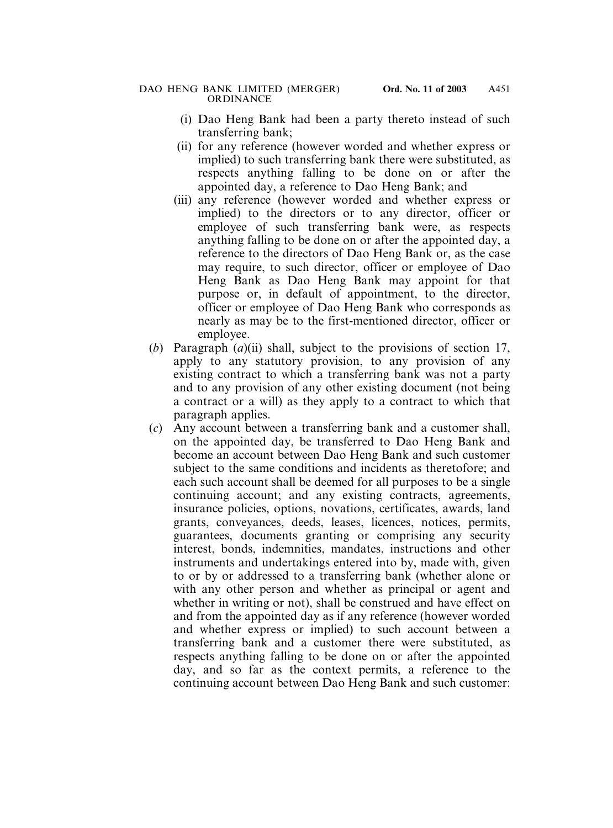- (i) Dao Heng Bank had been a party thereto instead of such transferring bank;
- (ii) for any reference (however worded and whether express or implied) to such transferring bank there were substituted, as respects anything falling to be done on or after the appointed day, a reference to Dao Heng Bank; and
- (iii) any reference (however worded and whether express or implied) to the directors or to any director, officer or employee of such transferring bank were, as respects anything falling to be done on or after the appointed day, a reference to the directors of Dao Heng Bank or, as the case may require, to such director, officer or employee of Dao Heng Bank as Dao Heng Bank may appoint for that purpose or, in default of appointment, to the director, officer or employee of Dao Heng Bank who corresponds as nearly as may be to the first-mentioned director, officer or employee.
- (*b*) Paragraph (*a*)(ii) shall, subject to the provisions of section 17, apply to any statutory provision, to any provision of any existing contract to which a transferring bank was not a party and to any provision of any other existing document (not being a contract or a will) as they apply to a contract to which that paragraph applies.
- (*c*) Any account between a transferring bank and a customer shall, on the appointed day, be transferred to Dao Heng Bank and become an account between Dao Heng Bank and such customer subject to the same conditions and incidents as theretofore; and each such account shall be deemed for all purposes to be a single continuing account; and any existing contracts, agreements, insurance policies, options, novations, certificates, awards, land grants, conveyances, deeds, leases, licences, notices, permits, guarantees, documents granting or comprising any security interest, bonds, indemnities, mandates, instructions and other instruments and undertakings entered into by, made with, given to or by or addressed to a transferring bank (whether alone or with any other person and whether as principal or agent and whether in writing or not), shall be construed and have effect on and from the appointed day as if any reference (however worded and whether express or implied) to such account between a transferring bank and a customer there were substituted, as respects anything falling to be done on or after the appointed day, and so far as the context permits, a reference to the continuing account between Dao Heng Bank and such customer: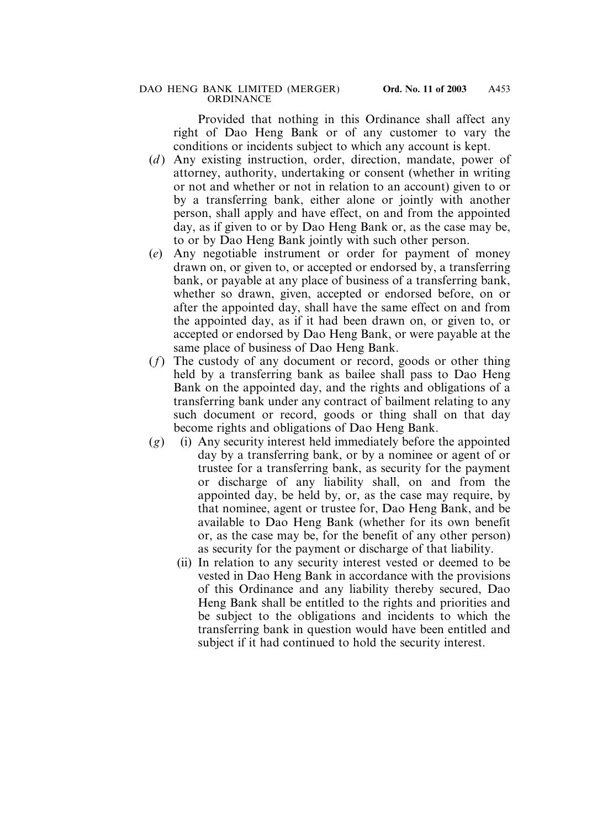Provided that nothing in this Ordinance shall affect any right of Dao Heng Bank or of any customer to vary the conditions or incidents subject to which any account is kept.

- (*d*) Any existing instruction, order, direction, mandate, power of attorney, authority, undertaking or consent (whether in writing or not and whether or not in relation to an account) given to or by a transferring bank, either alone or jointly with another person, shall apply and have effect, on and from the appointed day, as if given to or by Dao Heng Bank or, as the case may be, to or by Dao Heng Bank jointly with such other person.
- (*e*) Any negotiable instrument or order for payment of money drawn on, or given to, or accepted or endorsed by, a transferring bank, or payable at any place of business of a transferring bank, whether so drawn, given, accepted or endorsed before, on or after the appointed day, shall have the same effect on and from the appointed day, as if it had been drawn on, or given to, or accepted or endorsed by Dao Heng Bank, or were payable at the same place of business of Dao Heng Bank.
- (*f*) The custody of any document or record, goods or other thing held by a transferring bank as bailee shall pass to Dao Heng Bank on the appointed day, and the rights and obligations of a transferring bank under any contract of bailment relating to any such document or record, goods or thing shall on that day become rights and obligations of Dao Heng Bank.
- (*g*) (i) Any security interest held immediately before the appointed day by a transferring bank, or by a nominee or agent of or trustee for a transferring bank, as security for the payment or discharge of any liability shall, on and from the appointed day, be held by, or, as the case may require, by that nominee, agent or trustee for, Dao Heng Bank, and be available to Dao Heng Bank (whether for its own benefit or, as the case may be, for the benefit of any other person) as security for the payment or discharge of that liability.
	- (ii) In relation to any security interest vested or deemed to be vested in Dao Heng Bank in accordance with the provisions of this Ordinance and any liability thereby secured, Dao Heng Bank shall be entitled to the rights and priorities and be subject to the obligations and incidents to which the transferring bank in question would have been entitled and subject if it had continued to hold the security interest.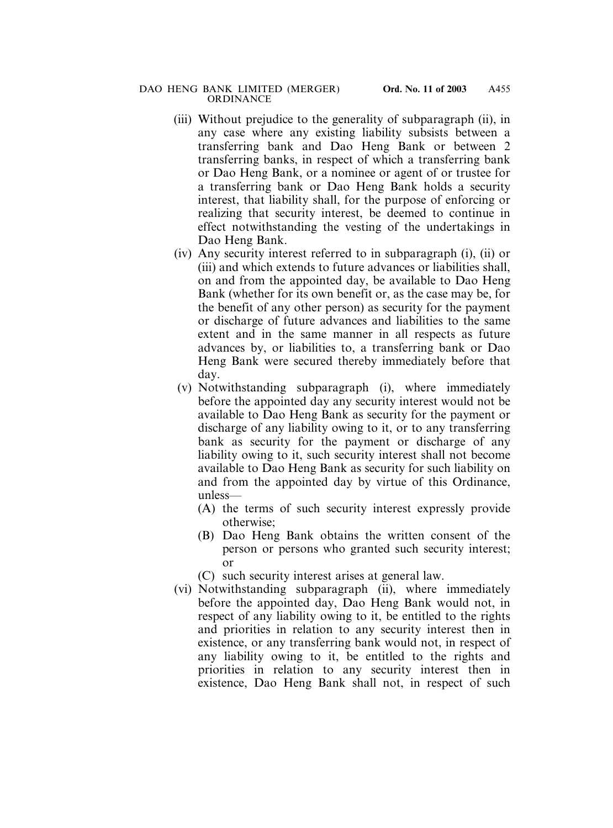- (iii) Without prejudice to the generality of subparagraph (ii), in any case where any existing liability subsists between a transferring bank and Dao Heng Bank or between 2 transferring banks, in respect of which a transferring bank or Dao Heng Bank, or a nominee or agent of or trustee for a transferring bank or Dao Heng Bank holds a security interest, that liability shall, for the purpose of enforcing or realizing that security interest, be deemed to continue in effect notwithstanding the vesting of the undertakings in Dao Heng Bank.
- (iv) Any security interest referred to in subparagraph (i), (ii) or (iii) and which extends to future advances or liabilities shall, on and from the appointed day, be available to Dao Heng Bank (whether for its own benefit or, as the case may be, for the benefit of any other person) as security for the payment or discharge of future advances and liabilities to the same extent and in the same manner in all respects as future advances by, or liabilities to, a transferring bank or Dao Heng Bank were secured thereby immediately before that day.
- (v) Notwithstanding subparagraph (i), where immediately before the appointed day any security interest would not be available to Dao Heng Bank as security for the payment or discharge of any liability owing to it, or to any transferring bank as security for the payment or discharge of any liability owing to it, such security interest shall not become available to Dao Heng Bank as security for such liability on and from the appointed day by virtue of this Ordinance, unless—
	- (A) the terms of such security interest expressly provide otherwise;
	- (B) Dao Heng Bank obtains the written consent of the person or persons who granted such security interest; or
	- (C) such security interest arises at general law.
- (vi) Notwithstanding subparagraph (ii), where immediately before the appointed day, Dao Heng Bank would not, in respect of any liability owing to it, be entitled to the rights and priorities in relation to any security interest then in existence, or any transferring bank would not, in respect of any liability owing to it, be entitled to the rights and priorities in relation to any security interest then in existence, Dao Heng Bank shall not, in respect of such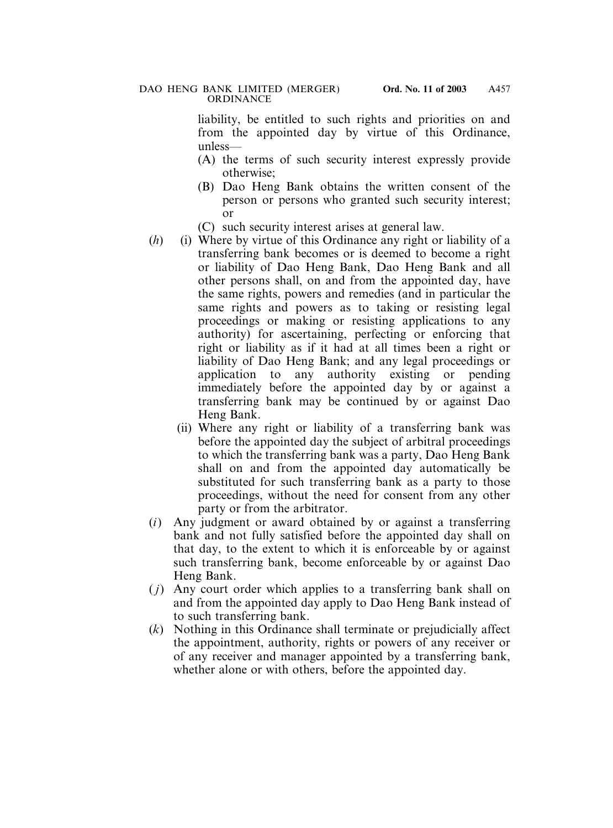liability, be entitled to such rights and priorities on and from the appointed day by virtue of this Ordinance, unless—

- (A) the terms of such security interest expressly provide otherwise;
- (B) Dao Heng Bank obtains the written consent of the person or persons who granted such security interest; or
- (C) such security interest arises at general law.
- (*h*) (i) Where by virtue of this Ordinance any right or liability of a transferring bank becomes or is deemed to become a right or liability of Dao Heng Bank, Dao Heng Bank and all other persons shall, on and from the appointed day, have the same rights, powers and remedies (and in particular the same rights and powers as to taking or resisting legal proceedings or making or resisting applications to any authority) for ascertaining, perfecting or enforcing that right or liability as if it had at all times been a right or liability of Dao Heng Bank; and any legal proceedings or application to any authority existing or pending immediately before the appointed day by or against a transferring bank may be continued by or against Dao Heng Bank.
	- (ii) Where any right or liability of a transferring bank was before the appointed day the subject of arbitral proceedings to which the transferring bank was a party, Dao Heng Bank shall on and from the appointed day automatically be substituted for such transferring bank as a party to those proceedings, without the need for consent from any other party or from the arbitrator.
- (*i*) Any judgment or award obtained by or against a transferring bank and not fully satisfied before the appointed day shall on that day, to the extent to which it is enforceable by or against such transferring bank, become enforceable by or against Dao Heng Bank.
- ( *j*) Any court order which applies to a transferring bank shall on and from the appointed day apply to Dao Heng Bank instead of to such transferring bank.
- (*k*) Nothing in this Ordinance shall terminate or prejudicially affect the appointment, authority, rights or powers of any receiver or of any receiver and manager appointed by a transferring bank, whether alone or with others, before the appointed day.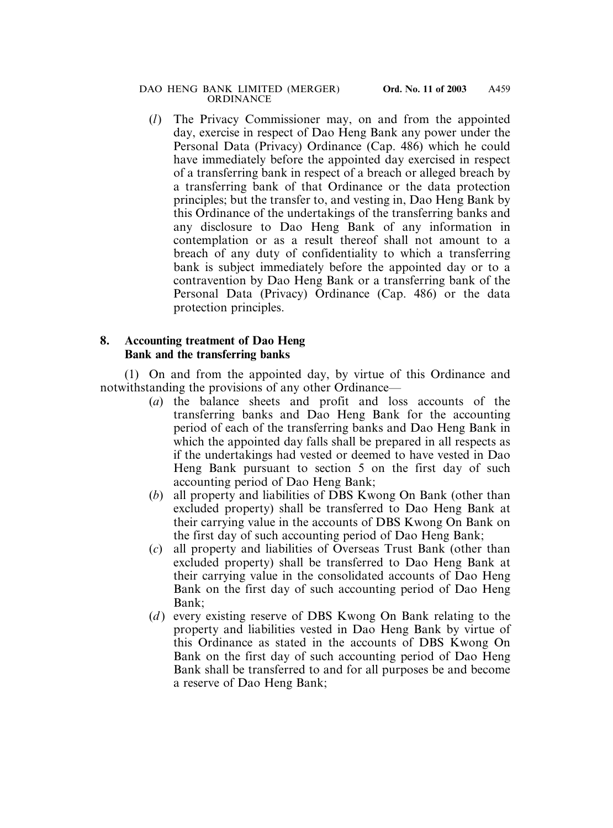(*l*) The Privacy Commissioner may, on and from the appointed day, exercise in respect of Dao Heng Bank any power under the Personal Data (Privacy) Ordinance (Cap. 486) which he could have immediately before the appointed day exercised in respect of a transferring bank in respect of a breach or alleged breach by a transferring bank of that Ordinance or the data protection principles; but the transfer to, and vesting in, Dao Heng Bank by this Ordinance of the undertakings of the transferring banks and any disclosure to Dao Heng Bank of any information in contemplation or as a result thereof shall not amount to a breach of any duty of confidentiality to which a transferring bank is subject immediately before the appointed day or to a contravention by Dao Heng Bank or a transferring bank of the Personal Data (Privacy) Ordinance (Cap. 486) or the data protection principles.

### **8. Accounting treatment of Dao Heng Bank and the transferring banks**

(1) On and from the appointed day, by virtue of this Ordinance and notwithstanding the provisions of any other Ordinance—

- (*a*) the balance sheets and profit and loss accounts of the transferring banks and Dao Heng Bank for the accounting period of each of the transferring banks and Dao Heng Bank in which the appointed day falls shall be prepared in all respects as if the undertakings had vested or deemed to have vested in Dao Heng Bank pursuant to section 5 on the first day of such accounting period of Dao Heng Bank;
- (*b*) all property and liabilities of DBS Kwong On Bank (other than excluded property) shall be transferred to Dao Heng Bank at their carrying value in the accounts of DBS Kwong On Bank on the first day of such accounting period of Dao Heng Bank;
- (*c*) all property and liabilities of Overseas Trust Bank (other than excluded property) shall be transferred to Dao Heng Bank at their carrying value in the consolidated accounts of Dao Heng Bank on the first day of such accounting period of Dao Heng Bank;
- (*d*) every existing reserve of DBS Kwong On Bank relating to the property and liabilities vested in Dao Heng Bank by virtue of this Ordinance as stated in the accounts of DBS Kwong On Bank on the first day of such accounting period of Dao Heng Bank shall be transferred to and for all purposes be and become a reserve of Dao Heng Bank;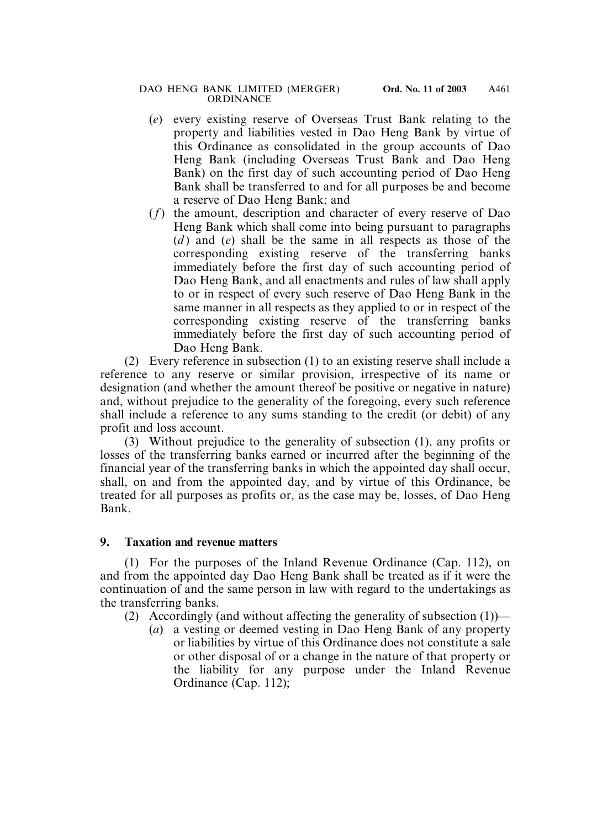- (*e*) every existing reserve of Overseas Trust Bank relating to the property and liabilities vested in Dao Heng Bank by virtue of this Ordinance as consolidated in the group accounts of Dao Heng Bank (including Overseas Trust Bank and Dao Heng Bank) on the first day of such accounting period of Dao Heng Bank shall be transferred to and for all purposes be and become a reserve of Dao Heng Bank; and
- (*f*) the amount, description and character of every reserve of Dao Heng Bank which shall come into being pursuant to paragraphs (*d* ) and (*e*) shall be the same in all respects as those of the corresponding existing reserve of the transferring banks immediately before the first day of such accounting period of Dao Heng Bank, and all enactments and rules of law shall apply to or in respect of every such reserve of Dao Heng Bank in the same manner in all respects as they applied to or in respect of the corresponding existing reserve of the transferring banks immediately before the first day of such accounting period of Dao Heng Bank.

(2) Every reference in subsection (1) to an existing reserve shall include a reference to any reserve or similar provision, irrespective of its name or designation (and whether the amount thereof be positive or negative in nature) and, without prejudice to the generality of the foregoing, every such reference shall include a reference to any sums standing to the credit (or debit) of any profit and loss account.

(3) Without prejudice to the generality of subsection (1), any profits or losses of the transferring banks earned or incurred after the beginning of the financial year of the transferring banks in which the appointed day shall occur, shall, on and from the appointed day, and by virtue of this Ordinance, be treated for all purposes as profits or, as the case may be, losses, of Dao Heng Bank.

# **9. Taxation and revenue matters**

(1) For the purposes of the Inland Revenue Ordinance (Cap. 112), on and from the appointed day Dao Heng Bank shall be treated as if it were the continuation of and the same person in law with regard to the undertakings as the transferring banks.

(2) Accordingly (and without affecting the generality of subsection  $(1)$ )—

(*a*) a vesting or deemed vesting in Dao Heng Bank of any property or liabilities by virtue of this Ordinance does not constitute a sale or other disposal of or a change in the nature of that property or the liability for any purpose under the Inland Revenue Ordinance (Cap. 112);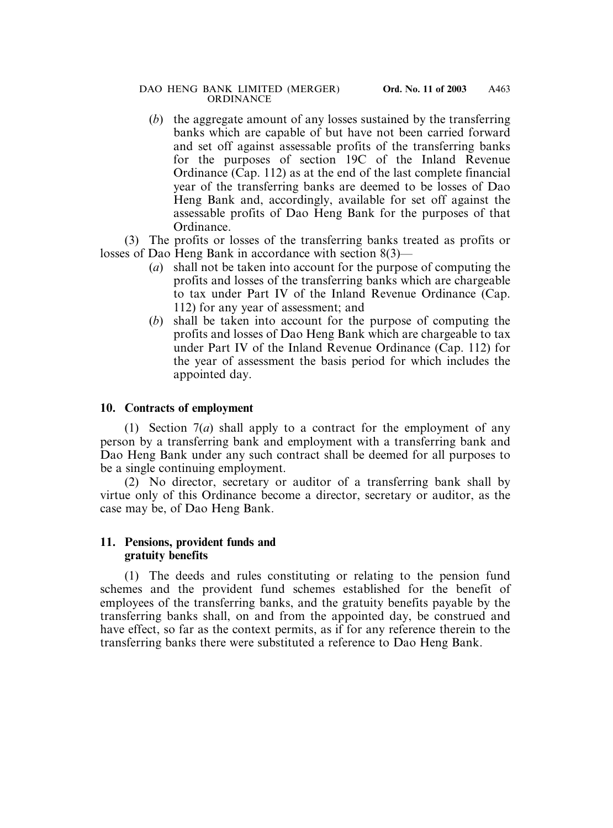(*b*) the aggregate amount of any losses sustained by the transferring banks which are capable of but have not been carried forward and set off against assessable profits of the transferring banks for the purposes of section 19C of the Inland Revenue Ordinance (Cap. 112) as at the end of the last complete financial year of the transferring banks are deemed to be losses of Dao Heng Bank and, accordingly, available for set off against the assessable profits of Dao Heng Bank for the purposes of that Ordinance.

(3) The profits or losses of the transferring banks treated as profits or losses of Dao Heng Bank in accordance with section 8(3)—

- (*a*) shall not be taken into account for the purpose of computing the profits and losses of the transferring banks which are chargeable to tax under Part IV of the Inland Revenue Ordinance (Cap. 112) for any year of assessment; and
- (*b*) shall be taken into account for the purpose of computing the profits and losses of Dao Heng Bank which are chargeable to tax under Part IV of the Inland Revenue Ordinance (Cap. 112) for the year of assessment the basis period for which includes the appointed day.

# **10. Contracts of employment**

(1) Section 7(*a*) shall apply to a contract for the employment of any person by a transferring bank and employment with a transferring bank and Dao Heng Bank under any such contract shall be deemed for all purposes to be a single continuing employment.

(2) No director, secretary or auditor of a transferring bank shall by virtue only of this Ordinance become a director, secretary or auditor, as the case may be, of Dao Heng Bank.

### **11. Pensions, provident funds and gratuity benefits**

(1) The deeds and rules constituting or relating to the pension fund schemes and the provident fund schemes established for the benefit of employees of the transferring banks, and the gratuity benefits payable by the transferring banks shall, on and from the appointed day, be construed and have effect, so far as the context permits, as if for any reference therein to the transferring banks there were substituted a reference to Dao Heng Bank.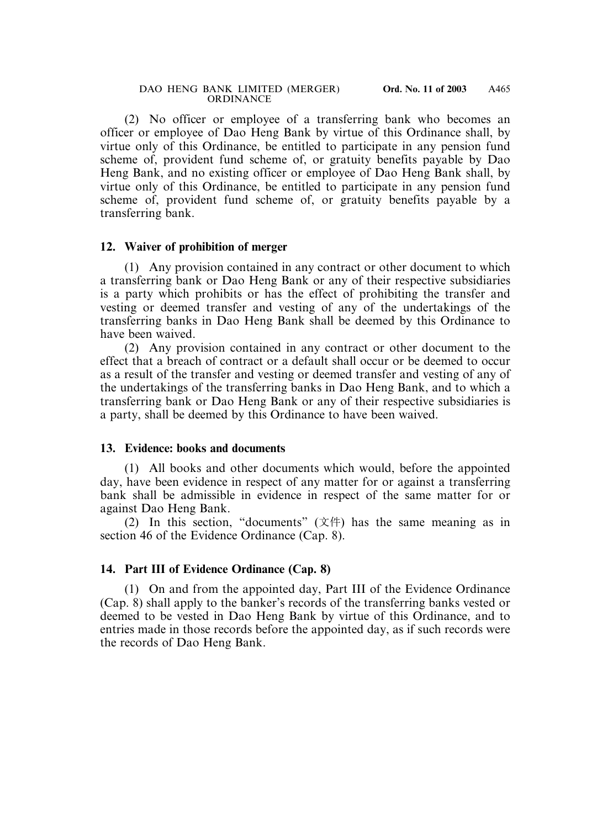(2) No officer or employee of a transferring bank who becomes an officer or employee of Dao Heng Bank by virtue of this Ordinance shall, by virtue only of this Ordinance, be entitled to participate in any pension fund scheme of, provident fund scheme of, or gratuity benefits payable by Dao Heng Bank, and no existing officer or employee of Dao Heng Bank shall, by virtue only of this Ordinance, be entitled to participate in any pension fund scheme of, provident fund scheme of, or gratuity benefits payable by a transferring bank.

#### **12. Waiver of prohibition of merger**

(1) Any provision contained in any contract or other document to which a transferring bank or Dao Heng Bank or any of their respective subsidiaries is a party which prohibits or has the effect of prohibiting the transfer and vesting or deemed transfer and vesting of any of the undertakings of the transferring banks in Dao Heng Bank shall be deemed by this Ordinance to have been waived.

(2) Any provision contained in any contract or other document to the effect that a breach of contract or a default shall occur or be deemed to occur as a result of the transfer and vesting or deemed transfer and vesting of any of the undertakings of the transferring banks in Dao Heng Bank, and to which a transferring bank or Dao Heng Bank or any of their respective subsidiaries is a party, shall be deemed by this Ordinance to have been waived.

#### **13. Evidence: books and documents**

(1) All books and other documents which would, before the appointed day, have been evidence in respect of any matter for or against a transferring bank shall be admissible in evidence in respect of the same matter for or against Dao Heng Bank.

(2) In this section, "documents" (文件) has the same meaning as in section 46 of the Evidence Ordinance (Cap. 8).

### **14. Part III of Evidence Ordinance (Cap. 8)**

(1) On and from the appointed day, Part III of the Evidence Ordinance (Cap. 8) shall apply to the banker's records of the transferring banks vested or deemed to be vested in Dao Heng Bank by virtue of this Ordinance, and to entries made in those records before the appointed day, as if such records were the records of Dao Heng Bank.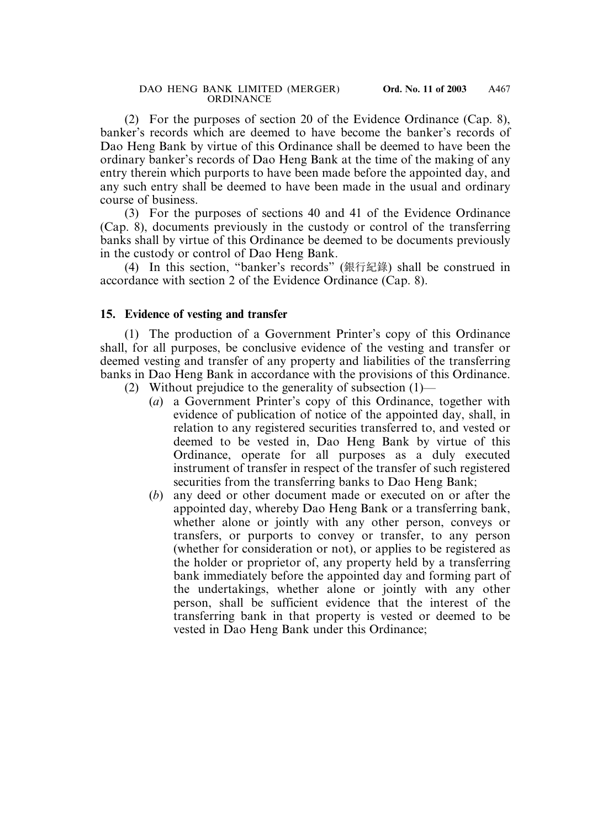(2) For the purposes of section 20 of the Evidence Ordinance (Cap. 8), banker's records which are deemed to have become the banker's records of Dao Heng Bank by virtue of this Ordinance shall be deemed to have been the ordinary banker's records of Dao Heng Bank at the time of the making of any entry therein which purports to have been made before the appointed day, and any such entry shall be deemed to have been made in the usual and ordinary course of business.

(3) For the purposes of sections 40 and 41 of the Evidence Ordinance (Cap. 8), documents previously in the custody or control of the transferring banks shall by virtue of this Ordinance be deemed to be documents previously in the custody or control of Dao Heng Bank.

(4) In this section, "banker's records" (銀行紀錄) shall be construed in accordance with section 2 of the Evidence Ordinance (Cap. 8).

#### **15. Evidence of vesting and transfer**

(1) The production of a Government Printer's copy of this Ordinance shall, for all purposes, be conclusive evidence of the vesting and transfer or deemed vesting and transfer of any property and liabilities of the transferring banks in Dao Heng Bank in accordance with the provisions of this Ordinance.

- (2) Without prejudice to the generality of subsection (1)—
	- (*a*) a Government Printer's copy of this Ordinance, together with evidence of publication of notice of the appointed day, shall, in relation to any registered securities transferred to, and vested or deemed to be vested in, Dao Heng Bank by virtue of this Ordinance, operate for all purposes as a duly executed instrument of transfer in respect of the transfer of such registered securities from the transferring banks to Dao Heng Bank;
	- (*b*) any deed or other document made or executed on or after the appointed day, whereby Dao Heng Bank or a transferring bank, whether alone or jointly with any other person, conveys or transfers, or purports to convey or transfer, to any person (whether for consideration or not), or applies to be registered as the holder or proprietor of, any property held by a transferring bank immediately before the appointed day and forming part of the undertakings, whether alone or jointly with any other person, shall be sufficient evidence that the interest of the transferring bank in that property is vested or deemed to be vested in Dao Heng Bank under this Ordinance;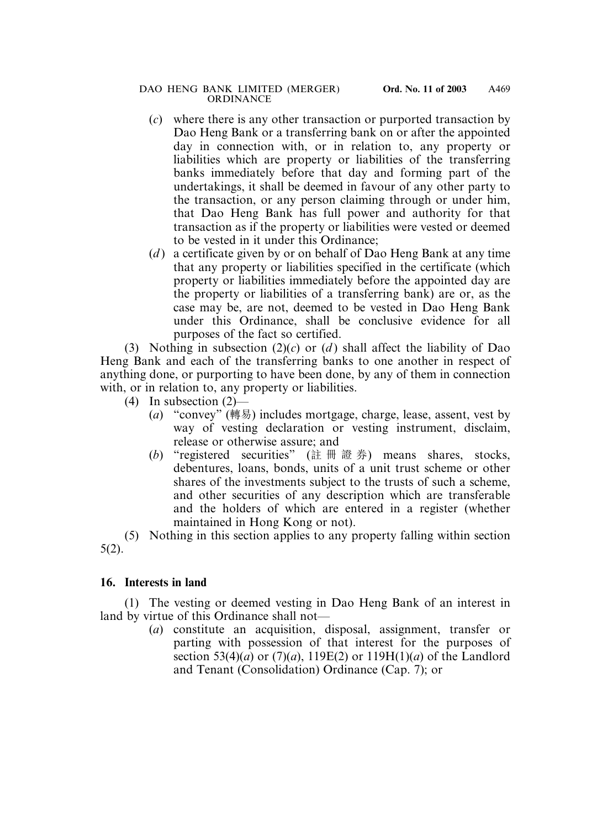- (*c*) where there is any other transaction or purported transaction by Dao Heng Bank or a transferring bank on or after the appointed day in connection with, or in relation to, any property or liabilities which are property or liabilities of the transferring banks immediately before that day and forming part of the undertakings, it shall be deemed in favour of any other party to the transaction, or any person claiming through or under him, that Dao Heng Bank has full power and authority for that transaction as if the property or liabilities were vested or deemed to be vested in it under this Ordinance;
- (*d* ) a certificate given by or on behalf of Dao Heng Bank at any time that any property or liabilities specified in the certificate (which property or liabilities immediately before the appointed day are the property or liabilities of a transferring bank) are or, as the case may be, are not, deemed to be vested in Dao Heng Bank under this Ordinance, shall be conclusive evidence for all purposes of the fact so certified.

(3) Nothing in subsection  $(2)(c)$  or  $(d)$  shall affect the liability of Dao Heng Bank and each of the transferring banks to one another in respect of anything done, or purporting to have been done, by any of them in connection with, or in relation to, any property or liabilities.

- (4) In subsection  $(2)$ 
	- (*a*) "convey" (轉易) includes mortgage, charge, lease, assent, vest by way of vesting declaration or vesting instrument, disclaim, release or otherwise assure; and
	- (*b*) "registered securities" (註冊證券) means shares, stocks, debentures, loans, bonds, units of a unit trust scheme or other shares of the investments subject to the trusts of such a scheme, and other securities of any description which are transferable and the holders of which are entered in a register (whether maintained in Hong Kong or not).

(5) Nothing in this section applies to any property falling within section 5(2).

# **16. Interests in land**

(1) The vesting or deemed vesting in Dao Heng Bank of an interest in land by virtue of this Ordinance shall not—

(*a*) constitute an acquisition, disposal, assignment, transfer or parting with possession of that interest for the purposes of section 53(4)(*a*) or (7)(*a*), 119E(2) or 119H(1)(*a*) of the Landlord and Tenant (Consolidation) Ordinance (Cap. 7); or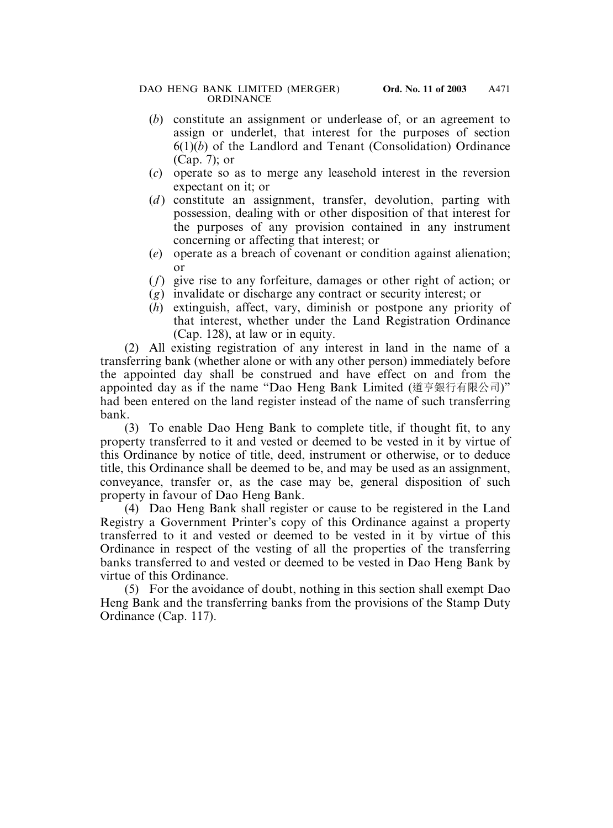- (*b*) constitute an assignment or underlease of, or an agreement to assign or underlet, that interest for the purposes of section 6(1)(*b*) of the Landlord and Tenant (Consolidation) Ordinance (Cap. 7); or
- (*c*) operate so as to merge any leasehold interest in the reversion expectant on it; or
- (*d*) constitute an assignment, transfer, devolution, parting with possession, dealing with or other disposition of that interest for the purposes of any provision contained in any instrument concerning or affecting that interest; or
- (*e*) operate as a breach of covenant or condition against alienation; or
- (*f*) give rise to any forfeiture, damages or other right of action; or
- (*g*) invalidate or discharge any contract or security interest; or
- (*h*) extinguish, affect, vary, diminish or postpone any priority of that interest, whether under the Land Registration Ordinance (Cap. 128), at law or in equity.

(2) All existing registration of any interest in land in the name of a transferring bank (whether alone or with any other person) immediately before the appointed day shall be construed and have effect on and from the appointed day as if the name "Dao Heng Bank Limited (道亨銀行有限公司)" had been entered on the land register instead of the name of such transferring bank.

(3) To enable Dao Heng Bank to complete title, if thought fit, to any property transferred to it and vested or deemed to be vested in it by virtue of this Ordinance by notice of title, deed, instrument or otherwise, or to deduce title, this Ordinance shall be deemed to be, and may be used as an assignment, conveyance, transfer or, as the case may be, general disposition of such property in favour of Dao Heng Bank.

(4) Dao Heng Bank shall register or cause to be registered in the Land Registry a Government Printer's copy of this Ordinance against a property transferred to it and vested or deemed to be vested in it by virtue of this Ordinance in respect of the vesting of all the properties of the transferring banks transferred to and vested or deemed to be vested in Dao Heng Bank by virtue of this Ordinance.

(5) For the avoidance of doubt, nothing in this section shall exempt Dao Heng Bank and the transferring banks from the provisions of the Stamp Duty Ordinance (Cap. 117).